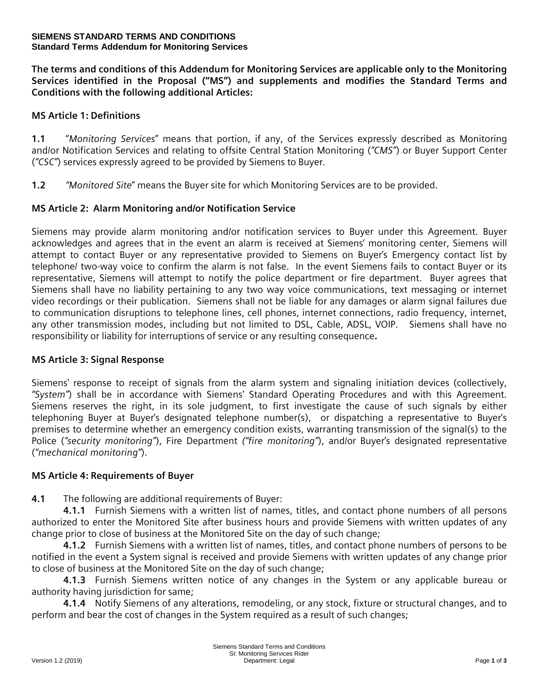#### **SIEMENS STANDARD TERMS AND CONDITIONS Standard Terms Addendum for Monitoring Services**

**The terms and conditions of this Addendum for Monitoring Services are applicable only to the Monitoring Services identified in the Proposal ("MS") and supplements and modifies the Standard Terms and Conditions with the following additional Articles:**

### **MS Article 1: Definitions**

**1.1** "*Monitoring Services*" means that portion, if any, of the Services expressly described as Monitoring and/or Notification Services and relating to offsite Central Station Monitoring (*"CMS"*) or Buyer Support Center (*"CSC"*) services expressly agreed to be provided by Siemens to Buyer.

**1.2** *"Monitored Site*" means the Buyer site for which Monitoring Services are to be provided.

## **MS Article 2: Alarm Monitoring and/or Notification Service**

Siemens may provide alarm monitoring and/or notification services to Buyer under this Agreement. Buyer acknowledges and agrees that in the event an alarm is received at Siemens' monitoring center, Siemens will attempt to contact Buyer or any representative provided to Siemens on Buyer's Emergency contact list by telephone/ two-way voice to confirm the alarm is not false. In the event Siemens fails to contact Buyer or its representative, Siemens will attempt to notify the police department or fire department. Buyer agrees that Siemens shall have no liability pertaining to any two way voice communications, text messaging or internet video recordings or their publication. Siemens shall not be liable for any damages or alarm signal failures due to communication disruptions to telephone lines, cell phones, internet connections, radio frequency, internet, any other transmission modes, including but not limited to DSL, Cable, ADSL, VOIP. Siemens shall have no responsibility or liability for interruptions of service or any resulting consequence**.**

#### **MS Article 3: Signal Response**

Siemens' response to receipt of signals from the alarm system and signaling initiation devices (collectively, *"System"*) shall be in accordance with Siemens' Standard Operating Procedures and with this Agreement. Siemens reserves the right, in its sole judgment, to first investigate the cause of such signals by either telephoning Buyer at Buyer's designated telephone number(s), or dispatching a representative to Buyer's premises to determine whether an emergency condition exists, warranting transmission of the signal(s) to the Police (*"security monitoring"*), Fire Department *("fire monitoring"*), and/or Buyer's designated representative (*"mechanical monitoring"*).

# **MS Article 4: Requirements of Buyer**

**4.1** The following are additional requirements of Buyer:

**4.1.1** Furnish Siemens with a written list of names, titles, and contact phone numbers of all persons authorized to enter the Monitored Site after business hours and provide Siemens with written updates of any change prior to close of business at the Monitored Site on the day of such change;

**4.1.2** Furnish Siemens with a written list of names, titles, and contact phone numbers of persons to be notified in the event a System signal is received and provide Siemens with written updates of any change prior to close of business at the Monitored Site on the day of such change;

**4.1.3** Furnish Siemens written notice of any changes in the System or any applicable bureau or authority having jurisdiction for same:

**4.1.4** Notify Siemens of any alterations, remodeling, or any stock, fixture or structural changes, and to perform and bear the cost of changes in the System required as a result of such changes;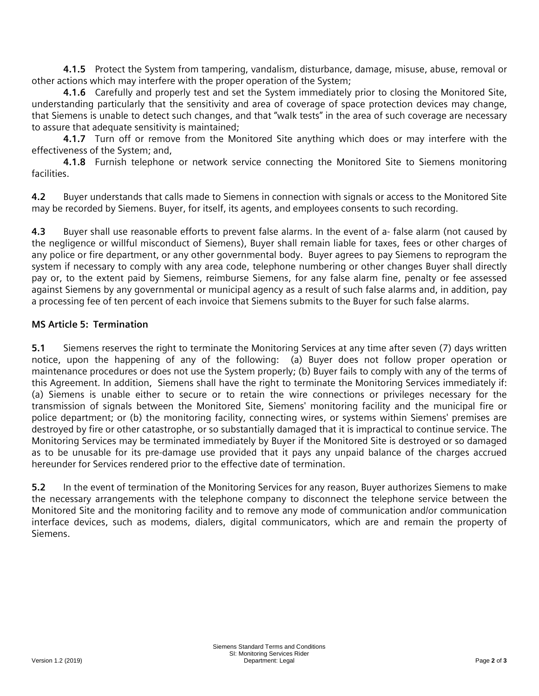**4.1.5** Protect the System from tampering, vandalism, disturbance, damage, misuse, abuse, removal or other actions which may interfere with the proper operation of the System;

**4.1.6** Carefully and properly test and set the System immediately prior to closing the Monitored Site, understanding particularly that the sensitivity and area of coverage of space protection devices may change, that Siemens is unable to detect such changes, and that "walk tests" in the area of such coverage are necessary to assure that adequate sensitivity is maintained;

**4.1.7** Turn off or remove from the Monitored Site anything which does or may interfere with the effectiveness of the System; and,

**4.1.8** Furnish telephone or network service connecting the Monitored Site to Siemens monitoring facilities.

**4.2** Buyer understands that calls made to Siemens in connection with signals or access to the Monitored Site may be recorded by Siemens. Buyer, for itself, its agents, and employees consents to such recording.

**4.3** Buyer shall use reasonable efforts to prevent false alarms. In the event of a- false alarm (not caused by the negligence or willful misconduct of Siemens), Buyer shall remain liable for taxes, fees or other charges of any police or fire department, or any other governmental body. Buyer agrees to pay Siemens to reprogram the system if necessary to comply with any area code, telephone numbering or other changes Buyer shall directly pay or, to the extent paid by Siemens, reimburse Siemens, for any false alarm fine, penalty or fee assessed against Siemens by any governmental or municipal agency as a result of such false alarms and, in addition, pay a processing fee of ten percent of each invoice that Siemens submits to the Buyer for such false alarms.

# **MS Article 5: Termination**

**5.1** Siemens reserves the right to terminate the Monitoring Services at any time after seven (7) days written notice, upon the happening of any of the following: (a) Buyer does not follow proper operation or maintenance procedures or does not use the System properly; (b) Buyer fails to comply with any of the terms of this Agreement. In addition, Siemens shall have the right to terminate the Monitoring Services immediately if: (a) Siemens is unable either to secure or to retain the wire connections or privileges necessary for the transmission of signals between the Monitored Site, Siemens' monitoring facility and the municipal fire or police department; or (b) the monitoring facility, connecting wires, or systems within Siemens' premises are destroyed by fire or other catastrophe, or so substantially damaged that it is impractical to continue service. The Monitoring Services may be terminated immediately by Buyer if the Monitored Site is destroyed or so damaged as to be unusable for its pre-damage use provided that it pays any unpaid balance of the charges accrued hereunder for Services rendered prior to the effective date of termination.

**5.2** In the event of termination of the Monitoring Services for any reason, Buyer authorizes Siemens to make the necessary arrangements with the telephone company to disconnect the telephone service between the Monitored Site and the monitoring facility and to remove any mode of communication and/or communication interface devices, such as modems, dialers, digital communicators, which are and remain the property of Siemens.